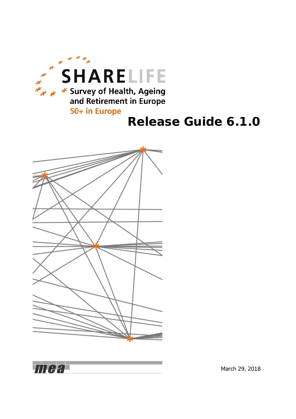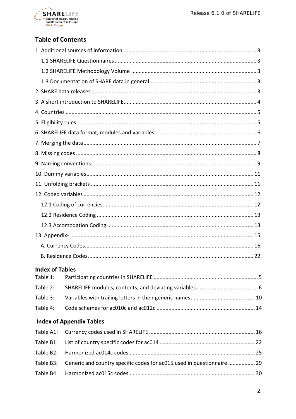

## **Table of Contents**

| <b>Index of Tables</b> |                                                                        |  |
|------------------------|------------------------------------------------------------------------|--|
| Table 1:               |                                                                        |  |
| Table 2:               |                                                                        |  |
| Table 3:               |                                                                        |  |
| Table 4:               |                                                                        |  |
|                        | <b>Index of Appendix Tables</b>                                        |  |
| Table A1:              |                                                                        |  |
| Table B1:              |                                                                        |  |
| Table B2:              |                                                                        |  |
| Table B3:              | Generic and country specific codes for ac015 used in questionnaire  29 |  |
| Table B4:              |                                                                        |  |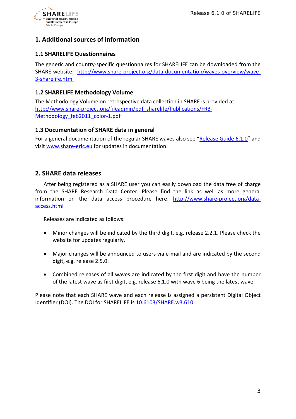

## <span id="page-2-0"></span>**1. Additional sources of information**

## <span id="page-2-1"></span>**1.1 SHARELIFE Questionnaires**

The generic and country-specific questionnaires for SHARELIFE can be downloaded from the SHARE-website: [http://www.share-project.org/data-documentation/waves-overview/wave-](http://www.share-project.org/data-documentation/waves-overview/wave-3-sharelife.html)[3-sharelife.html](http://www.share-project.org/data-documentation/waves-overview/wave-3-sharelife.html)

## <span id="page-2-2"></span>**1.2 SHARELIFE Methodology Volume**

The Methodology Volume on retrospective data collection in SHARE is provided at: [http://www.share-project.org/fileadmin/pdf\\_sharelife/Publications/FRB-](http://www.share-project.org/fileadmin/pdf_sharelife/Publications/FRB-Methodology_feb2011_color-1.pdf)[Methodology\\_feb2011\\_color-1.pdf](http://www.share-project.org/fileadmin/pdf_sharelife/Publications/FRB-Methodology_feb2011_color-1.pdf)

### <span id="page-2-3"></span>**1.3 Documentation of SHARE data in general**

For a general documentation of the regular SHARE waves also see ["Release Guide 6.1.0"](http://www.share-project.org/fileadmin/pdf_documentation/SHARE_release_guide_6-1-0.pdf) and visit [www.share-eric.eu](http://www.share-eric.eu/) for updates in documentation.

## <span id="page-2-4"></span>**2. SHARE data releases**

After being registered as a SHARE user you can easily download the data free of charge from the SHARE Research Data Center. Please find the link as well as more general information on the data access procedure here: [http://www.share-project.org/data](http://www.share-project.org/data-access.html)[access.html](http://www.share-project.org/data-access.html)

Releases are indicated as follows:

- Minor changes will be indicated by the third digit, e.g. release 2.2.1. Please check the website for updates regularly.
- Major changes will be announced to users via e-mail and are indicated by the second digit, e.g. release 2.5.0.
- Combined releases of all waves are indicated by the first digit and have the number of the latest wave as first digit, e.g. release 6.1.0 with wave 6 being the latest wave.

Please note that each SHARE wave and each release is assigned a persistent Digital Object Identifier (DOI). The DOI for SHARELIFE is [10.6103/SHARE.w3.610.](http://www.share-project.org/data-documentation/waves-overview/wave-3-sharelife.html)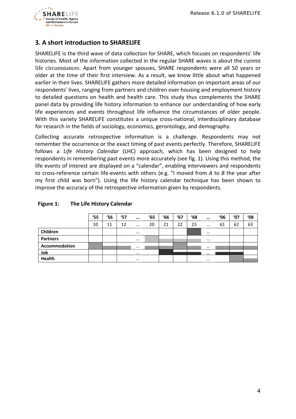

## <span id="page-3-0"></span>**3. A short introduction to SHARELIFE**

SHARELIFE is the third wave of data collection for SHARE, which focuses on respondents' life histories. Most of the information collected in the regular SHARE waves is about the current life circumstances. Apart from younger spouses, SHARE respondents were all 50 years or older at the time of their first interview. As a result, we know little about what happened earlier in their lives. SHARELIFE gathers more detailed information on important areas of our respondents' lives, ranging from partners and children over housing and employment history to detailed questions on health and health care. This study thus complements the SHARE panel data by providing life history information to enhance our understanding of how early life experiences and events throughout life influence the circumstances of older people. With this variety SHARELIFE constitutes a unique cross-national, interdisciplinary database for research in the fields of sociology, economics, gerontology, and demography.

Collecting accurate retrospective information is a challenge. Respondents may not remember the occurrence or the exact timing of past events perfectly. Therefore, SHARELIFE follows a *Life History Calendar* (LHC) approach, which has been designed to help respondents in remembering past events more accurately (see fig. 1). Using this method, the life events of interest are displayed on a "calendar", enabling interviewers and respondents to cross-reference certain life-events with others (e.g. "I moved from *A* to *B* the year after my first child was born"). Using the life history calendar technique has been shown to improve the accuracy of the retrospective information given by respondents.

|                 | $^{\prime}55$ | <b>'56</b> | '57 | $\cdots$ | '65 | 66 | '67 | '68 | $\cdots$ | '06 | '07 | '08 |
|-----------------|---------------|------------|-----|----------|-----|----|-----|-----|----------|-----|-----|-----|
|                 | 10            | 11         | 12  | $\cdots$ | 20  | 21 | 22  | 23  | $\cdots$ | 61  | 62  | 63  |
| Children        |               |            |     | $\cdots$ |     |    |     |     | $\cdots$ |     |     |     |
| <b>Partners</b> |               |            |     | $\cdots$ |     |    |     |     | $\cdots$ |     |     |     |
| Accommodation   |               |            |     | $\cdots$ |     |    |     |     | $\cdots$ |     |     |     |
| Job             |               |            |     | $\cdots$ |     |    |     |     | $\cdots$ |     |     |     |
| Health          |               |            |     | $\cdots$ |     |    |     |     | $\cdots$ |     |     |     |

#### **Figure 1: The Life History Calendar**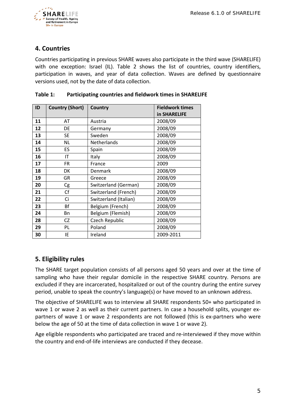

## <span id="page-4-0"></span>**4. Countries**

Countries participating in previous SHARE waves also participate in the third wave (SHARELIFE) with one exception: Israel (IL). Table 2 shows the list of countries, country identifiers, participation in waves, and year of data collection. Waves are defined by questionnaire versions used, not by the date of data collection.

| ID | <b>Country (Short)</b> | Country               | <b>Fieldwork times</b><br>in SHARELIFE |
|----|------------------------|-----------------------|----------------------------------------|
| 11 | AT                     | Austria               | 2008/09                                |
| 12 | DE                     | Germany               | 2008/09                                |
| 13 | <b>SE</b>              | Sweden                | 2008/09                                |
| 14 | <b>NL</b>              | <b>Netherlands</b>    | 2008/09                                |
| 15 | ES                     | Spain                 | 2008/09                                |
| 16 | IT                     | Italy                 | 2008/09                                |
| 17 | <b>FR</b>              | France                | 2009                                   |
| 18 | DK                     | Denmark               | 2008/09                                |
| 19 | GR                     | Greece                | 2008/09                                |
| 20 | Cg                     | Switzerland (German)  | 2008/09                                |
| 21 | Cf                     | Switzerland (French)  | 2008/09                                |
| 22 | Ci                     | Switzerland (Italian) | 2008/09                                |
| 23 | Bf                     | Belgium (French)      | 2008/09                                |
| 24 | Bn                     | Belgium (Flemish)     | 2008/09                                |
| 28 | CZ                     | Czech Republic        | 2008/09                                |
| 29 | PL                     | Poland                | 2008/09                                |
| 30 | IE                     | Ireland               | 2009-2011                              |

#### **Table 1: Participating countries and fieldwork times in SHARELIFE**

## <span id="page-4-1"></span>**5. Eligibility rules**

The SHARE target population consists of all persons aged 50 years and over at the time of sampling who have their regular domicile in the respective SHARE country. Persons are excluded if they are incarcerated, hospitalized or out of the country during the entire survey period, unable to speak the country's language(s) or have moved to an unknown address.

The objective of SHARELIFE was to interview all SHARE respondents 50+ who participated in wave 1 or wave 2 as well as their current partners. In case a household splits, younger expartners of wave 1 or wave 2 respondents are not followed (this is ex-partners who were below the age of 50 at the time of data collection in wave 1 or wave 2).

Age eligible respondents who participated are traced and re-interviewed if they move within the country and end-of-life interviews are conducted if they decease.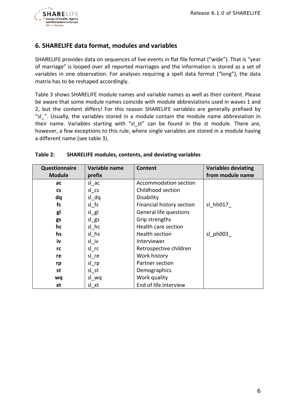

## <span id="page-5-0"></span>**6. SHARELIFE data format, modules and variables**

SHARELIFE provides data on sequences of live events in flat file format ("wide"). That is "year of marriage" is looped over all reported marriages and the information is stored as a set of variables in one observation. For analyses requiring a spell data format ("long"), the data matrix has to be reshaped accordingly.

Table 3 shows SHARELIFE module names and variable names as well as their content. Please be aware that some module names coincide with module abbreviations used in waves 1 and 2, but the content differs! For this reason SHARELIFE variables are generally prefixed by "sl\_". Usually, the variables stored in a module contain the module name abbreviation in their name. Variables starting with "sl st" can be found in the st module. There are, however, a few exceptions to this rule, where single variables are stored in a module having a different name (see table 3).

| Questionnaire | Variable name | Content                   | <b>Variables deviating</b> |
|---------------|---------------|---------------------------|----------------------------|
| <b>Module</b> | prefix        |                           | from module name           |
| ac            | sl ac         | Accommodation section     |                            |
| <b>CS</b>     | sl cs         | Childhood section         |                            |
| dq            | sl_dq         | Disability                |                            |
| fs            | sl fs         | Financial history section | sl hh017                   |
| gl            | $sl\_gl$      | General life questions    |                            |
| gs            | $sl\_gs$      | Grip strengths            |                            |
| hc            | sl hc         | Health care section       |                            |
| hs            | sl hs         | Health section            | sl ph003                   |
| iv            | sl iv         | Interviewer               |                            |
| rc            | sl rc         | Retrospective children    |                            |
| re            | sl re         | Work history              |                            |
| rp            | $sl$ _rp      | Partner section           |                            |
| st            | sl st         | Demographics              |                            |
| wq            | sl_wq         | Work quality              |                            |
| xt            | sl xt         | End of life interview     |                            |

#### **Table 2: SHARELIFE modules, contents, and deviating variables**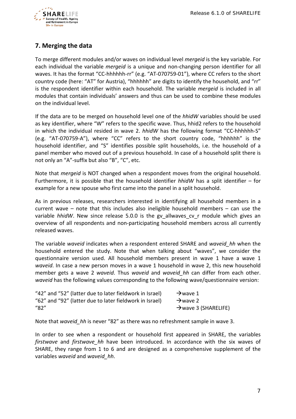

## <span id="page-6-0"></span>**7. Merging the data**

To merge different modules and/or waves on individual level *mergeid* is the key variable. For each individual the variable *mergeid* is a unique and non-changing person identifier for all waves. It has the format "CC-hhhhhh-rr" (e.g. "AT-070759-01"), where CC refers to the short country code (here: "AT" for Austria), "hhhhhh" are digits to identify the household, and "rr" is the respondent identifier within each household. The variable *mergeid* is included in all modules that contain individuals' answers and thus can be used to combine these modules on the individual level.

If the data are to be merged on household level one of the *hhidW* variables should be used as key identifier, where "W" refers to the specific wave. Thus, hhid2 refers to the household in which the individual resided in wave 2. *hhidW* has the following format "CC-hhhhhh-S" (e.g. "AT-070759-A"), where "CC" refers to the short country code, "hhhhhh" is the household identifier, and "S" identifies possible split households, i.e. the household of a panel member who moved out of a previous household. In case of a household split there is not only an "A"-suffix but also "B", "C", etc.

Note that *mergeid* is NOT changed when a respondent moves from the original household. Furthermore, it is possible that the household identifier *hhidW* has a split identifier – for example for a new spouse who first came into the panel in a split household.

As in previous releases, researchers interested in identifying all household members in a current wave – note that this includes also ineligible household members – can use the variable *hhidW*. New since release 5.0.0 is the gv allwaves cv r module which gives an overview of all respondents and non-participating household members across all currently released waves.

The variable *waveid* indicates when a respondent entered SHARE and *waveid\_hh* when the household entered the study. Note that when talking about "waves", we consider the questionnaire version used. All household members present in wave 1 have a wave 1 *waveid*. In case a new person moves in a wave 1 household in wave 2, this new household member gets a wave 2 *waveid*. Thus *waveid* and *waveid\_hh* can differ from each other. *waveid* has the following values corresponding to the following wave/questionnaire version:

| "42" and "52" (latter due to later fieldwork in Israel) | $\rightarrow$ wave 1             |
|---------------------------------------------------------|----------------------------------|
| "62" and "92" (latter due to later fieldwork in Israel) | $\rightarrow$ wave 2             |
| "82"                                                    | $\rightarrow$ wave 3 (SHARELIFE) |

Note that *waveid\_hh* is never "82" as there was no refreshment sample in wave 3.

In order to see when a respondent or household first appeared in SHARE, the variables *firstwave* and *firstwave\_hh* have been introduced. In accordance with the six waves of SHARE, they range from 1 to 6 and are designed as a comprehensive supplement of the variables *waveid* and *waveid\_hh*.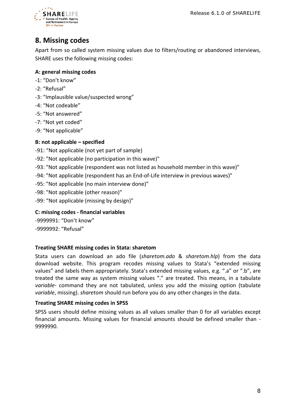

# <span id="page-7-0"></span>**8. Missing codes**

Apart from so called system missing values due to filters/routing or abandoned interviews, SHARE uses the following missing codes:

## **A: general missing codes**

- -1: "Don't know"
- -2: "Refusal"
- -3: "Implausible value/suspected wrong"
- -4: "Not codeable"
- -5: "Not answered"
- -7: "Not yet coded"
- -9: "Not applicable"

### **B: not applicable – specified**

- -91: "Not applicable (not yet part of sample)
- -92: "Not applicable (no participation in this wave)"
- -93: "Not applicable (respondent was not listed as household member in this wave)"
- -94: "Not applicable (respondent has an End-of-Life interview in previous waves)"
- -95: "Not applicable (no main interview done)"
- -98: "Not applicable (other reason)"
- -99: "Not applicable (missing by design)"

### **C: missing codes - financial variables**

-9999991: "Don't know" -9999992: "Refusal"

#### **Treating SHARE missing codes in Stata: sharetom**

Stata users can download an ado file (*sharetom.ado* & *sharetom.hlp*) from the data download website. This program recodes missing values to Stata's "extended missing values" and labels them appropriately. Stata's extended missing values, e.g. ".a" or ".b", are treated the same way as system missing values "." are treated. This means, in a tabulate *variable*- command they are not tabulated, unless you add the missing option (tabulate *variable*, missing). *sharetom* should run before you do any other changes in the data.

#### **Treating SHARE missing codes in SPSS**

SPSS users should define missing values as all values smaller than 0 for all variables except financial amounts. Missing values for financial amounts should be defined smaller than - 9999990.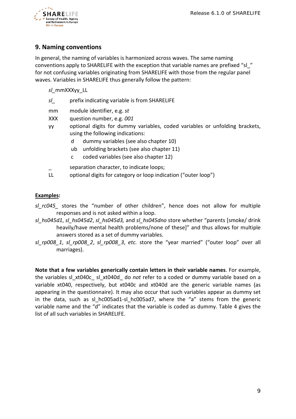

## <span id="page-8-0"></span>**9. Naming conventions**

In general, the naming of variables is harmonized across waves. The same naming conventions apply to SHARELIFE with the exception that variable names are prefixed "sl\_" for not confusing variables originating from SHARELIFE with those from the regular panel waves. Variables in SHARELIFE thus generally follow the pattern:

*sl\_*mmXXXyy\_LL

- *sl\_* prefix indicating variable is from SHARELIFE
- mm module identifier, e.g. *st*
- XXX question number, e.g. *001*
- yy optional digits for dummy variables, coded variables or unfolding brackets, using the following indications:
	- d dummy variables (see also chapter 10)
	- ub unfolding brackets (see also chapter 11)
	- c coded variables (see also chapter 12)
	- separation character, to indicate loops:
- LL optional digits for category or loop indication ("outer loop")

#### **Examples:**

- *sl\_rc045\_* stores the "number of other children", hence does not allow for multiple responses and is not asked within a loop.
- *sl\_hs045d1*, *sl\_hs045d2*, *sl\_hs045d3,* and *sl\_hs045dno* store whether "parents [smoke/ drink heavily/have mental health problems/none of these]" and thus allows for multiple answers stored as a set of dummy variables.
- *sl\_rp008\_1*, *sl\_rp008\_2*, *sl\_rp008\_3*, *etc.* store the "year married" ("outer loop" over all marriages).

**Note that a few variables generically contain letters in their variable names**. For example, the variables sl\_xt040c\_ sl\_xt040d\_ do *not* refer to a coded or dummy variable based on a variable xt040, respectively, but xt040c and xt040d are the generic variable names (as appearing in the questionnaire). It may also occur that such variables appear as dummy set in the data, such as sl hc005ad1-sl hc005ad7, where the "a" stems from the generic variable name and the "d" indicates that the variable is coded as dummy. Table 4 gives the list of all such variables in SHARELIFE.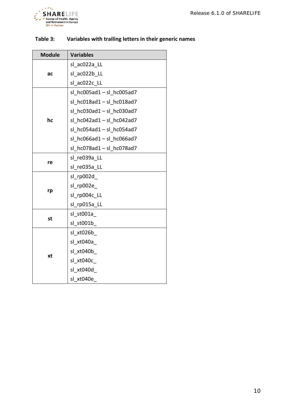

| <b>Module</b> | <b>Variables</b>              |
|---------------|-------------------------------|
|               | sl ac022a LL                  |
| ac            | sl ac022b LL                  |
|               | sl ac022c LL                  |
|               | $sl$ hc005ad1 - $sl$ hc005ad7 |
|               | $sl$ hc018ad1 - $sl$ hc018ad7 |
|               | sl hc030ad1-sl_hc030ad7       |
| hc            | sl $hc042ad1 - sl$ $hc042ad7$ |
|               | sl $hc054ad1 - sl$ $hc054ad7$ |
|               | sl $hc066ad1 - sl$ $hc066ad7$ |
|               | sl hc078ad1-sl hc078ad7       |
|               | sl re039a LL                  |
| re            | sl re035a LL                  |
|               | sl rp002d                     |
|               | sl rp002e                     |
| rp            | sl rp004c LL                  |
|               | sl_rp015a_LL                  |
|               | sl st001a                     |
| st            | sl st001b                     |
|               | sl xt026b                     |
|               | sl xt040a                     |
|               | sl xt040b                     |
| xt            | sl xt040c                     |
|               | sl xt040d                     |
|               | sl xt040e                     |

## **Table 3: Variables with trailing letters in their generic names**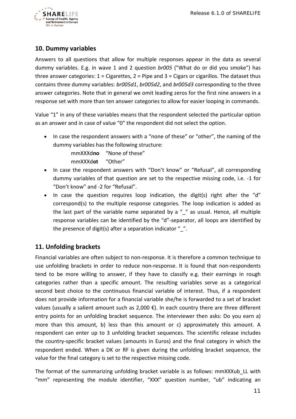

## <span id="page-10-0"></span>**10. Dummy variables**

Answers to all questions that allow for multiple responses appear in the data as several dummy variables. E.g. in wave 1 and 2 question *br005* ("What do or did you smoke") has three answer categories:  $1 =$  Cigarettes,  $2 =$  Pipe and  $3 =$  Cigars or cigarillos. The dataset thus contains three dummy variables: *br005d1*, *br005d2*, and *br005d3* corresponding to the three answer categories. Note that in general we omit leading zeros for the first nine answers in a response set with more than ten answer categories to allow for easier looping in commands.

Value "1" in any of these variables means that the respondent selected the particular option as an answer and in case of value "0" the respondent did not select the option.

• In case the respondent answers with a "none of these" or "other", the naming of the dummy variables has the following structure:

> mmXXXd**no** "None of these" mmXXXd**ot** "Other"

- In case the respondent answers with "Don't know" or "Refusal", all corresponding dummy variables of that question are set to the respective missing code, i.e. -1 for "Don't know" and -2 for "Refusal".
- In case the question requires loop indication, the digit(s) right after the "d" correspond(s) to the multiple response categories. The loop indication is added as the last part of the variable name separated by a "\_" as usual. Hence, all multiple response variables can be identified by the "d"-separator, all loops are identified by the presence of digit(s) after a separation indicator  $"$ .

## <span id="page-10-1"></span>**11. Unfolding brackets**

Financial variables are often subject to non-response. It is therefore a common technique to use unfolding brackets in order to reduce non-response. It is found that non-respondents tend to be more willing to answer, if they have to classify e.g. their earnings in rough categories rather than a specific amount. The resulting variables serve as a categorical second best choice to the continuous financial variable of interest. Thus, if a respondent does not provide information for a financial variable she/he is forwarded to a set of bracket values (usually a salient amount such as 2,000  $\epsilon$ ). In each country there are three different entry points for an unfolding bracket sequence. The interviewer then asks: Do you earn a) more than this amount, b) less than this amount or c) approximately this amount. A respondent can enter up to 3 unfolding bracket sequences. The scientific release includes the country-specific bracket values (amounts in Euros) and the final category in which the respondent ended. When a DK or RF is given during the unfolding bracket sequence, the value for the final category is set to the respective missing code.

The format of the summarizing unfolding bracket variable is as follows: mmXXXub\_LL with "mm" representing the module identifier, "XXX" question number, "ub" indicating an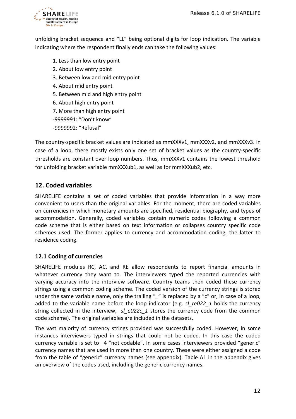

unfolding bracket sequence and "LL" being optional digits for loop indication. The variable indicating where the respondent finally ends can take the following values:

- 1. Less than low entry point
- 2. About low entry point
- 3. Between low and mid entry point
- 4. About mid entry point
- 5. Between mid and high entry point
- 6. About high entry point
- 7. More than high entry point

-9999991: "Don't know"

-9999992: "Refusal"

The country-specific bracket values are indicated as mmXXXv1, mmXXXv2, and mmXXXv3. In case of a loop, there mostly exists only one set of bracket values as the country-specific thresholds are constant over loop numbers. Thus, mmXXXv1 contains the lowest threshold for unfolding bracket variable mmXXXub1, as well as for mmXXXub2, etc.

## <span id="page-11-0"></span>**12. Coded variables**

SHARELIFE contains a set of coded variables that provide information in a way more convenient to users than the original variables. For the moment, there are coded variables on currencies in which monetary amounts are specified, residential biography, and types of accommodation. Generally, coded variables contain numeric codes following a common code scheme that is either based on text information or collapses country specific code schemes used. The former applies to currency and accommodation coding, the latter to residence coding.

### <span id="page-11-1"></span>**12.1 Coding of currencies**

SHARELIFE modules RC, AC, and RE allow respondents to report financial amounts in whatever currency they want to. The interviewers typed the reported currencies with varying accuracy into the interview software. Country teams then coded these currency strings using a common coding scheme. The coded version of the currency strings is stored under the same variable name, only the trailing "\_" is replaced by a "c" or, in case of a loop, added to the variable name before the loop indicator (e.g. *sl\_re022\_1* holds the currency string collected in the interview, *sl e022c 1* stores the currency code from the common code scheme). The original variables are included in the datasets.

The vast majority of currency strings provided was successfully coded. However, in some instances interviewers typed in strings that could not be coded. In this case the coded currency variable is set to –4 "not codable". In some cases interviewers provided "generic" currency names that are used in more than one country. These were either assigned a code from the table of "generic" currency names (see appendix). Table A1 in the appendix gives an overview of the codes used, including the generic currency names.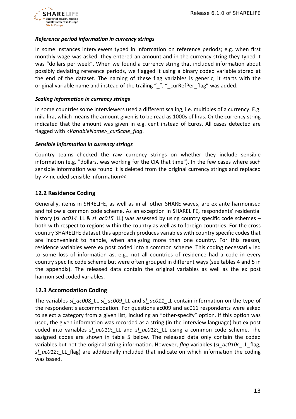

#### *Reference period information in currency strings*

In some instances interviewers typed in information on reference periods; e.g. when first monthly wage was asked, they entered an amount and in the currency string they typed it was "dollars per week". When we found a currency string that included information about possibly deviating reference periods, we flagged it using a binary coded variable stored at the end of the dataset. The naming of these flag variables is generic, it starts with the original variable name and instead of the trailing " ", " curRefPer flag" was added.

#### *Scaling information in currency strings*

In some countries some interviewers used a different scaling, i.e. multiples of a currency. E.g. mila lira, which means the amount given is to be read as 1000s of liras. Or the currency string indicated that the amount was given in e.g. cent instead of Euros. All cases detected are flagged with *<VariableName>\_curScale\_flag*.

#### *Sensible information in currency strings*

Country teams checked the raw currency strings on whether they include sensible information (e.g. "dollars, was working for the CIA that time"). In the few cases where such sensible information was found it is deleted from the original currency strings and replaced by >>included sensible information<<.

## <span id="page-12-0"></span>**12.2 Residence Coding**

Generally, items in SHRELIFE, as well as in all other SHARE waves, are ex ante harmonised and follow a common code scheme. As an exception in SHARELIFE, respondents' residential history (*sl\_ac014*\_LL & *sl\_ac015*\_LL) was assessed by using country specific code schemes – both with respect to regions within the country as well as to foreign countries. For the cross country SHARELIFE dataset this approach produces variables with country specific codes that are inconvenient to handle, when analyzing more than one country. For this reason, residence variables were ex post coded into a common scheme. This coding necessarily led to some loss of information as, e.g., not all countries of residence had a code in every country specific code scheme but were often grouped in different ways (see tables 4 and 5 in the appendix). The released data contain the original variables as well as the ex post harmonised coded variables.

### <span id="page-12-1"></span>**12.3 Accomodation Coding**

The variables *sl\_ac008\_*LL *sl\_ac009\_*LL and *sl\_ac011\_*LL contain information on the type of the respondent's accommodation. For questions ac009 and ac011 respondents were asked to select a category from a given list, including an "other-specify" option. If this option was used, the given information was recorded as a string (in the interview language) but ex post coded into variables *sl\_ac010c\_*LL and *sl\_ac012c\_*LL using a common code scheme. The assigned codes are shown in table 5 below. The released data only contain the coded variables but not the original string information. However, *flag* variables (*sl\_ac010c\_*LL\_flag, *sl*  $ac012c$  LL flag) are additionally included that indicate on which information the coding was based.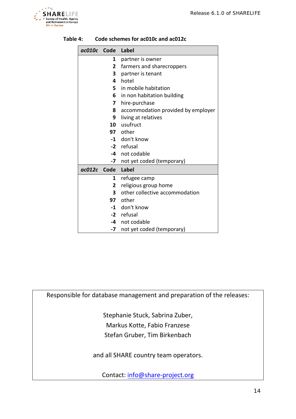

| ac010c Code Label |              |                                    |
|-------------------|--------------|------------------------------------|
|                   | 1            | partner is owner                   |
|                   | $\mathbf{2}$ | farmers and sharecroppers          |
|                   | 3            | partner is tenant                  |
|                   | 4            | hotel                              |
|                   | 5.           | in mobile habitation               |
|                   | 6            | in non habitation building         |
|                   | 7            | hire-purchase                      |
|                   | 8            | accommodation provided by employer |
|                   | 9            | living at relatives                |
|                   |              | 10 usufruct                        |
|                   |              | 97 other                           |
|                   |              | -1 don't know                      |
|                   |              | -2 refusal                         |
|                   |              | -4 not codable                     |
|                   |              | -7 not yet coded (temporary)       |
| ac012c Code       |              | Label                              |
|                   | 1            | refugee camp                       |
|                   | 2            | religious group home               |
|                   | 3            | other collective accommodation     |
|                   |              | <b>97</b> other                    |
|                   |              | -1 don't know                      |
|                   |              | -2 refusal                         |
|                   |              | -4 not codable                     |
|                   | -7           | not yet coded (temporary)          |

#### **Table 4: Code schemes for ac010c and ac012c**

Responsible for database management and preparation of the releases:

Stephanie Stuck, Sabrina Zuber, Markus Kotte, Fabio Franzese Stefan Gruber, Tim Birkenbach

and all SHARE country team operators.

Contact: [info@share-project.org](mailto:info@share-project.org)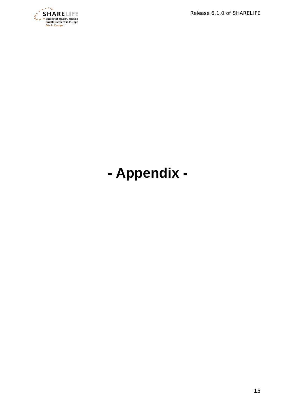*Release 6.1.0 of SHARELIFE*



# <span id="page-14-0"></span>**- Appendix -**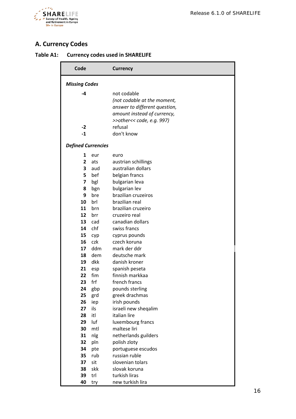

# <span id="page-15-0"></span>**A. Currency Codes**

| Table A1: | <b>Currency codes used in SHARELIFE</b> |  |  |
|-----------|-----------------------------------------|--|--|
|-----------|-----------------------------------------|--|--|

| Code                      |            | <b>Currency</b>               |
|---------------------------|------------|-------------------------------|
| <b>Missing Codes</b>      |            |                               |
| -4                        |            | not codable                   |
|                           |            | (not codable at the moment,   |
|                           |            | answer to different question, |
|                           |            | amount instead of currency,   |
|                           |            | >>other<< code, e.g. 997)     |
| $-2$                      |            | refusal                       |
| $-1$                      |            | don't know                    |
| <b>Defined Currencies</b> |            |                               |
| 1                         | eur        | euro                          |
| $\overline{2}$            | ats        | austrian schillings           |
| 3                         | aud        | australian dollars            |
| 5                         | bef        | belgian francs                |
| $\overline{\mathbf{z}}$   | bgl        | bulgarian leva                |
| 8                         | bgn        | bulgarian lev                 |
| 9                         | bre        | brazilian cruzeiros           |
| 10                        | brl        | brazilian real                |
| 11                        | brn        | brazilian cruzeiro            |
| 12                        | brr        | cruzeiro real                 |
| 13                        | cad        | canadian dollars              |
| 14                        | chf        | swiss francs                  |
| 15<br>16                  | cyp        | cyprus pounds                 |
| 17                        | czk<br>ddm | czech koruna<br>mark der ddr  |
| 18                        | dem        | deutsche mark                 |
| 19                        | dkk        | danish kroner                 |
| 21                        | esp        | spanish peseta                |
| 22                        | fim        | finnish markkaa               |
| 23                        | frf        | french francs                 |
| 24                        | gbp        | pounds sterling               |
| 25                        | grd        | greek drachmas                |
| 26                        | iep        | irish pounds                  |
| 27                        | ils        | israeli new sheqalim          |
| 28                        | itl        | italian lire                  |
| 29                        | luf        | luxembourg francs             |
| 30                        | mtl        | maltese liri                  |
| 31                        | nlg        | netherlands guilders          |
| 32                        | pln        | polish zloty                  |
| 34                        | pte        | portuguese escudos            |
| 35                        | rub        | russian ruble                 |
| 37                        | sit        | slovenian tolars              |
| 38                        | skk        | slovak koruna                 |
| 39                        | trl        | turkish liras                 |
| 40                        | try        | new turkish lira              |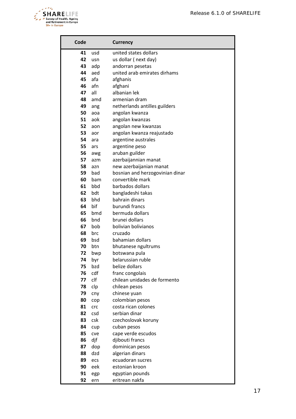

| Code     |            | <b>Currency</b>                   |
|----------|------------|-----------------------------------|
| 41       | usd        | united states dollars             |
| 42       | usn        | us dollar (next day)              |
| 43       | adp        | andorran pesetas                  |
| 44       | aed        | united arab emirates dirhams      |
| 45       | afa        | afghanis                          |
| 46       | afn        | afghani                           |
| 47       | all        | albanian lek                      |
| 48       | amd        | armenian dram                     |
| 49       | ang        | netherlands antilles guilders     |
| 50       | aoa        | angolan kwanza                    |
| 51       | aok        | angolan kwanzas                   |
| 52       | aon        | angolan new kwanzas               |
| 53       | aor        | angolan kwanza reajustado         |
| 54       | ara        | argentine australes               |
| 55       | ars        | argentine peso                    |
| 56       | awg        | aruban guilder                    |
| 57       | azm        | azerbaijannian manat              |
| 58       | azn        | new azerbaijanian manat           |
| 59       | bad        | bosnian and herzogovinian dinar   |
| 60       | bam        | convertible mark                  |
| 61       | bbd        | barbados dollars                  |
| 62       | bdt        | bangladeshi takas                 |
| 63<br>64 | bhd<br>bif | bahrain dinars                    |
| 65       | bmd        | burundi francs<br>bermuda dollars |
| 66       | bnd        | brunei dollars                    |
| 67       | bob        | bolivian bolivianos               |
| 68       | brc        | cruzado                           |
| 69       | bsd        | bahamian dollars                  |
| 70       | btn        | bhutanese ngultrums               |
| 72       | bwp        | botswana pula                     |
| 74       | byr        | belarussian ruble                 |
| 75       | bzd        | belize dollars                    |
| 76       | cdf        | franc congolais                   |
| 77       | clf        | chilean unidades de formento      |
| 78       | clp        | chilean pesos                     |
| 79       | cny        | chinese yuan                      |
| 80       | cop        | colombian pesos                   |
| 81       | crc        | costa rican colones               |
| 82       | csd        | serbian dinar                     |
| 83       | csk        | czechoslovak koruny               |
| 84       | cup        | cuban pesos                       |
| 85       | cve        | cape verde escudos                |
| 86       | djf        | djibouti francs                   |
| 87       | dop        | dominican pesos                   |
| 88       | dzd        | algerian dinars                   |
| 89       | ecs        | ecuadoran sucres                  |
| 90       | eek        | estonian kroon                    |
| 91       | egp        | egyptian pounds                   |
| 92       | ern        | eritrean nakfa                    |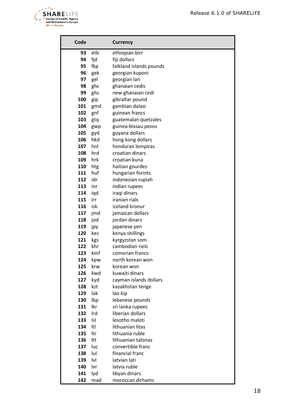

| Code       |     | <b>Currency</b>                   |
|------------|-----|-----------------------------------|
| 93         | etb | ethiopian birr                    |
| 94         | fjd | fiji dollars                      |
| 95         | fkp | falkland islands pounds           |
| 96         | gek | georgian kuponi                   |
| 97         | gel | georgian lari                     |
| 98         | ghc | ghanaian cedis                    |
| 99         | ghs | new ghanaian cedi                 |
| 100        | gip | gibraltar pound                   |
| 101        | gmd | gambian dalasi                    |
| 102        | gnf | guinean francs                    |
| 103        | gtq | guatemalan quetzales              |
| 104        | gwp | guinea-bissau pesos               |
| 105        | gyd | guyana dollars                    |
| 106        | hkd | hong kong dollars                 |
| 107        | hnl | honduran lempiras                 |
| 108        | hrd | croatian dinars                   |
| 109        | hrk | croatian kuna                     |
| 110        | htg | haitian gourdes                   |
| 111        | huf | hungarian forints                 |
| 112        | idr | indonesian rupiah                 |
| 113        | inr | indian rupees                     |
| 114        | iqd | iraqi dinars                      |
| 115        | irr | iranian rials                     |
| 116        | isk | iceland kronur                    |
| 117        | jmd | jamaican dollars                  |
| 118        | jod | jordan dinars                     |
| 119        | jpy | japanese yen                      |
| 120        | kes | kenya shillings                   |
| 121        | kgs | kyrgyzstan som                    |
| 122        | khr | cambodian riels                   |
| 123        | kmf | comorian francs                   |
| 124        | kpw | north korean won                  |
| 125        | krw | korean won                        |
| 126        | kwd | kuwaiti dinars                    |
| 127        | kyd | cayman islands dollars            |
| 128        | kzt | kazakhstan tenge                  |
| 129        | lak | lao kip                           |
| 130        | Ibp | lebanese pounds                   |
| 131        | lkr | sri lanka rupees                  |
| 132        | Ird | liberian dollars                  |
| 133        | Isl | lesotho maloti                    |
| 134        | ltl | lithuanian litas                  |
| 135        | ltr | lithuania ruble                   |
| 136        | Itt | lithuanian talonas                |
| 137        | luc | convertible franc                 |
| 138        | lul | financial franc                   |
| 139        | lvl | latvian lati                      |
| 140<br>141 | lvr | latvia ruble                      |
|            | lyd | libyan dinars<br>moroccan dirhams |
| 142        | mad |                                   |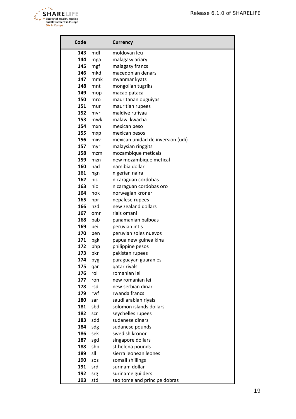

| Code |     | <b>Currency</b>                   |
|------|-----|-----------------------------------|
| 143  | mdl | moldovan leu                      |
| 144  | mga | malagasy ariary                   |
| 145  | mgf | malagasy francs                   |
| 146  | mkd | macedonian denars                 |
| 147  | mmk | myanmar kyats                     |
| 148  | mnt | mongolian tugriks                 |
| 149  | mop | macao pataca                      |
| 150  | mro | mauritanan ouguiyas               |
| 151  | mur | mauritian rupees                  |
| 152  | mvr | maldive rufiyaa                   |
| 153  | mwk | malawi kwacha                     |
| 154  | mxn | mexican peso                      |
| 155  | mxp | mexican pesos                     |
| 156  | mxv | mexican unidad de inversion (udi) |
| 157  | myr | malaysian ringgits                |
| 158  | mzm | mozambique meticais               |
| 159  | mzn | new mozambique metical            |
| 160  | nad | namibia dollar                    |
| 161  | ngn | nigerian naira                    |
| 162  | nic | nicaraguan cordobas               |
| 163  | nio | nicaraguan cordobas oro           |
| 164  | nok | norwegian kroner                  |
| 165  | npr | nepalese rupees                   |
| 166  | nzd | new zealand dollars               |
| 167  | omr | rials omani                       |
| 168  | pab | panamanian balboas                |
| 169  | pei | peruvian intis                    |
| 170  | pen | peruvian soles nuevos             |
| 171  | pgk | papua new guinea kina             |
| 172  | php | philippine pesos                  |
| 173  | pkr | pakistan rupees                   |
| 174  | pyg | paraguayan guaranies              |
| 175  | qar | qatar riyals                      |
| 176  | rol | romanian lei                      |
| 177  | ron | new romanian lei                  |
| 178  | rsd | new serbian dinar                 |
| 179  | rwf | rwanda francs                     |
| 180  | sar | saudi arabian riyals              |
| 181  | sbd | solomon islands dollars           |
| 182  | scr | seychelles rupees                 |
| 183  | sdd | sudanese dinars                   |
| 184  | sdg | sudanese pounds                   |
| 186  | sek | swedish kronor                    |
| 187  | sgd | singapore dollars                 |
| 188  | shp | st.helena pounds                  |
| 189  | sll | sierra leonean leones             |
| 190  | SOS | somali shillings                  |
| 191  | srd | surinam dollar                    |
| 192  | srg | suriname guilders                 |
| 193  | std | sao tome and principe dobras      |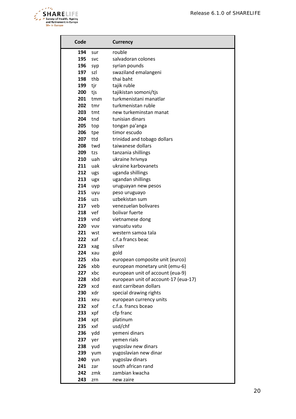

| Code       |            | <b>Currency</b>                      |
|------------|------------|--------------------------------------|
| 194        | sur        | rouble                               |
| 195        | <b>SVC</b> | salvadoran colones                   |
| 196        | syp        | syrian pounds                        |
| 197        | szl        | swaziland emalangeni                 |
| 198        | thb        | thai baht                            |
| 199        | tjr        | tajik ruble                          |
| 200        | tjs        | tajikistan somoni/tjs                |
| 201        | tmm        | turkmenistani manatlar               |
| 202        | tmr        | turkmenistan ruble                   |
| 203        | tmt        | new turkeminstan manat               |
| 204        | tnd        | tunisian dinars                      |
| 205        | top        | tongan pa'anga                       |
| 206        | tpe        | timor escudo                         |
| 207        | ttd        | trinidad and tobago dollars          |
| 208        | twd        | taiwanese dollars                    |
| 209        | tzs        | tanzania shillings                   |
| 210        | uah        | ukraine hrivnya                      |
| 211        | uak        | ukraine karbovanets                  |
| 212        | ugs        | uganda shillings                     |
| 213        | ugx        | ugandan shillings                    |
| 214<br>215 | uyp        | uruguayan new pesos                  |
| 216        | uyu        | peso uruguayo<br>uzbekistan sum      |
| 217        | uzs<br>veb | venezuelan bolivares                 |
| 218        | vef        | bolivar fuerte                       |
| 219        | vnd        | vietnamese dong                      |
| 220        | <b>VUV</b> | vanuatu vatu                         |
| 221        | wst        | western samoa tala                   |
| 222        | xaf        | c.f.a francs beac                    |
| 223        | xag        | silver                               |
| 224        | xau        | gold                                 |
| 225        | xba        | european composite unit (eurco)      |
| 226        | xbb        | european monetary unit (emu-6)       |
| 227        | xbc        | european unit of account (eua-9)     |
| 228        | xbd        | european unit of account-17 (eua-17) |
| 229        | xcd        | east carribean dollars               |
| 230        | xdr        | special drawing rights               |
| 231        | xeu        | european currency units              |
| 232        | xof        | c.f.a. francs bceao                  |
| 233        | xpf        | cfp franc                            |
| 234        | xpt        | platinum                             |
| 235        | xxf        | usd/chf                              |
| 236        | ydd        | yemeni dinars                        |
| 237        | yer        | yemen rials                          |
| 238        | yud        | yugoslav new dinars                  |
| 239        | yum        | yugoslavian new dinar                |
| 240        | yun        | yugoslav dinars                      |
| 241        | zar        | south african rand                   |
| 242        | zmk        | zambian kwacha                       |
| 243        | zrn        | new zaire                            |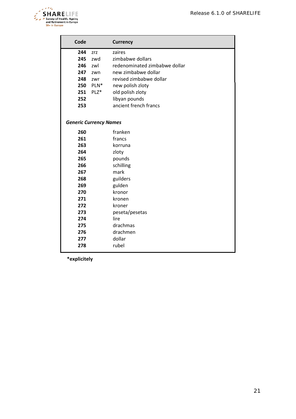

| Code                                                        |                                                 | <b>Currency</b>                                                                                                                                                                                 |
|-------------------------------------------------------------|-------------------------------------------------|-------------------------------------------------------------------------------------------------------------------------------------------------------------------------------------------------|
| 244<br>245<br>246<br>247<br>248<br>250<br>251<br>252<br>253 | zrz<br>zwd<br>zwl<br>zwn<br>zwr<br>PLN*<br>PLZ* | zaires<br>zimbabwe dollars<br>redenominated zimbabwe dollar<br>new zimbabwe dollar<br>revised zimbabwe dollar<br>new polish zloty<br>old polish zloty<br>libyan pounds<br>ancient french francs |
| <b>Generic Currency Names</b>                               |                                                 |                                                                                                                                                                                                 |
| 260                                                         |                                                 | franken                                                                                                                                                                                         |
| 261                                                         |                                                 | francs                                                                                                                                                                                          |
| 263                                                         |                                                 | korruna                                                                                                                                                                                         |
| 264                                                         |                                                 | zloty                                                                                                                                                                                           |
| 265                                                         |                                                 | pounds                                                                                                                                                                                          |
| 266                                                         |                                                 | schilling                                                                                                                                                                                       |
| 267                                                         |                                                 | mark                                                                                                                                                                                            |
| 268                                                         |                                                 | guilders                                                                                                                                                                                        |
| 269                                                         |                                                 | gulden                                                                                                                                                                                          |
| 270                                                         |                                                 | kronor                                                                                                                                                                                          |
| 271                                                         |                                                 | kronen                                                                                                                                                                                          |
| 272                                                         |                                                 | kroner                                                                                                                                                                                          |
| 273                                                         |                                                 | peseta/pesetas                                                                                                                                                                                  |
| 274                                                         |                                                 | lire                                                                                                                                                                                            |
| 275                                                         |                                                 | drachmas                                                                                                                                                                                        |
| 276                                                         |                                                 | drachmen                                                                                                                                                                                        |
| 277                                                         |                                                 | dollar                                                                                                                                                                                          |
| 278                                                         |                                                 | rubel                                                                                                                                                                                           |

**\*explicitely**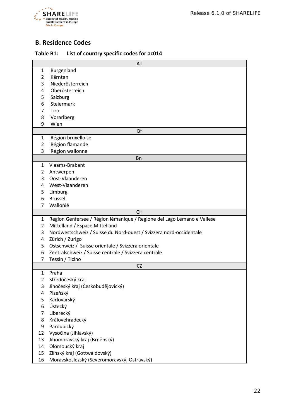

## <span id="page-21-0"></span>**B. Residence Codes**

| Table B1: | List of country specific codes for ac014 |  |  |
|-----------|------------------------------------------|--|--|
|-----------|------------------------------------------|--|--|

|                     | AT                                                                      |
|---------------------|-------------------------------------------------------------------------|
| $\mathbf{1}$        | Burgenland                                                              |
| $\overline{2}$      | Kärnten                                                                 |
| 3                   | Niederösterreich                                                        |
| 4                   | Oberösterreich                                                          |
| 5                   | Salzburg                                                                |
| 6                   | Steiermark                                                              |
| $\overline{7}$      | Tirol                                                                   |
| 8                   | Vorarlberg                                                              |
| 9                   | Wien                                                                    |
|                     | <b>Bf</b>                                                               |
| 1                   | Région bruxelloise                                                      |
| $\overline{2}$      | Région flamande                                                         |
| 3                   | Région wallonne                                                         |
|                     | <b>Bn</b><br>Vlaams-Brabant                                             |
| 1<br>$\overline{2}$ |                                                                         |
| 3                   | Antwerpen<br>Oost-Vlaanderen                                            |
| 4                   | West-Vlaanderen                                                         |
| 5.                  | Limburg                                                                 |
| 6                   | <b>Brussel</b>                                                          |
| 7                   | Wallonië                                                                |
|                     | <b>CH</b>                                                               |
| $\mathbf{1}$        | Region Genfersee / Région lémanique / Regione del Lago Lemano e Vallese |
| $\overline{2}$      | Mittelland / Espace Mittelland                                          |
| 3                   | Nordwestschweiz / Suisse du Nord-ouest / Svizzera nord-occidentale      |
| 4                   | Zürich / Zurigo                                                         |
| 5                   | Ostschweiz / Suisse orientale / Svizzera orientale                      |
| 6                   | Zentralschweiz / Suisse centrale / Svizzera centrale                    |
| 7                   | Tessin / Ticino                                                         |
|                     | CZ                                                                      |
| $\mathbf{1}$        | Praha                                                                   |
| 2                   | Středočeský kraj                                                        |
| 3                   | Jihočeský kraj (Českobudějovický)                                       |
| 4                   | Plzeňský                                                                |
| 5                   | Karlovarský                                                             |
| 6                   | Ústecký                                                                 |
| 7                   | Liberecký                                                               |
| 8                   | Královehradecký                                                         |
| 9                   | Pardubický                                                              |
| 12                  | Vysočina (Jihlavský)                                                    |
| 13                  | Jihomoravský kraj (Brněnský)<br>Olomoucký kraj                          |
| 14<br>15            |                                                                         |
|                     | Zlínský kraj (Gottwaldovský)                                            |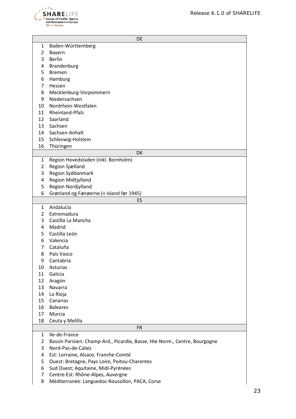

|    | DE                                                                         |
|----|----------------------------------------------------------------------------|
| 1  | Baden-Württemberg                                                          |
| 2  | Bayern                                                                     |
| 3  | <b>Berlin</b>                                                              |
| 4  | Brandenburg                                                                |
| 5  | <b>Bremen</b>                                                              |
| 6  | Hamburg                                                                    |
| 7  | Hessen                                                                     |
| 8  | Mecklenburg-Vorpommern                                                     |
| 9  | Niedersachsen                                                              |
| 10 | Nordrhein-Westfalen                                                        |
| 11 | Rheinland-Pfalz                                                            |
| 12 | Saarland                                                                   |
| 13 | Sachsen                                                                    |
| 14 | Sachsen-Anhalt                                                             |
| 15 | Schleswig-Holstein                                                         |
| 16 | Thüringen                                                                  |
|    | DK                                                                         |
| 1  | Region Hovedstaden (inkl. Bornholm)                                        |
| 2  | Region Sjælland                                                            |
| 3  | Region Syddanmark                                                          |
| 4  | Region Midtjylland                                                         |
| 5  | Region Nordjylland                                                         |
| 6  | Grønland og Færøerne (+ Island før 1945)                                   |
|    | ES                                                                         |
| 1  | Andalucía                                                                  |
| 2  | Extremadura                                                                |
| 3  | Castilla La Mancha                                                         |
| 4  | Madrid                                                                     |
| 5  | Castilla León                                                              |
| 6  | Valencia                                                                   |
| 7  | Cataluña                                                                   |
| 8  | País Vasco                                                                 |
| 9  | Cantabria                                                                  |
| 10 | Asturias                                                                   |
| 11 | Galicia                                                                    |
| 12 | Aragón                                                                     |
| 13 | Navarra                                                                    |
| 14 | La Rioja                                                                   |
| 15 | Canarias                                                                   |
| 16 | <b>Baleares</b>                                                            |
| 17 | Murcia                                                                     |
| 18 | Ceuta y Melilla                                                            |
|    | <b>FR</b>                                                                  |
| 1  | Ile-de-France                                                              |
| 2  | Bassin Parisien: Champ-Ard., Picardie, Basse, Hte Norm., Centre, Bourgogne |
| 3  | Nord-Pas-de-Calais                                                         |
| 4  | Est: Lorraine, Alsace, Franche-Comté                                       |
| 5  | Ouest: Bretagne, Pays Loire, Poitou-Charentes                              |
| 6  | Sud Ouest; Aquitaine, Midi-Pyrénées                                        |
| 7  | Centre-Est: Rhône-Alpes, Auvergne                                          |
| 8  | Méditerranée: Languedoc-Roussillon, PACA, Corse                            |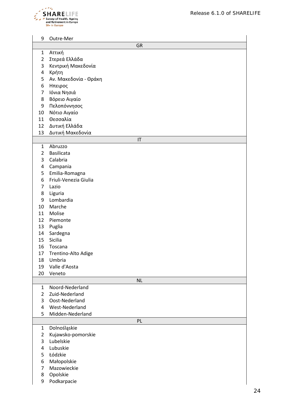

| 9                        | Outre-Mer             |           |  |  |  |  |  |
|--------------------------|-----------------------|-----------|--|--|--|--|--|
|                          | <b>GR</b>             |           |  |  |  |  |  |
| 1                        | Αττική                |           |  |  |  |  |  |
| $\overline{2}$           | Στερεά Ελλάδα         |           |  |  |  |  |  |
| 3                        | Κεντρική Μακεδονία    |           |  |  |  |  |  |
| 4                        | Κρήτη                 |           |  |  |  |  |  |
| 5                        | Αν. Μακεδονία - Θράκη |           |  |  |  |  |  |
| 6                        | Ηπειρος               |           |  |  |  |  |  |
| $\overline{\mathcal{I}}$ | Ιόνια Νησιά           |           |  |  |  |  |  |
| 8                        | Βόρειο Αιγαίο         |           |  |  |  |  |  |
| 9                        | Πελοπόννησος          |           |  |  |  |  |  |
| 10                       | Νότιο Αιγαίο          |           |  |  |  |  |  |
| 11                       | Θεσσαλία              |           |  |  |  |  |  |
| 12                       | Δυτική Ελλάδα         |           |  |  |  |  |  |
| 13                       | Δυτική Μακεδονία      |           |  |  |  |  |  |
|                          |                       | IT        |  |  |  |  |  |
| 1                        | Abruzzo               |           |  |  |  |  |  |
| 2                        | <b>Basilicata</b>     |           |  |  |  |  |  |
| 3                        | Calabria              |           |  |  |  |  |  |
| 4                        | Campania              |           |  |  |  |  |  |
| 5                        | Emilia-Romagna        |           |  |  |  |  |  |
| 6                        | Friuli-Venezia Giulia |           |  |  |  |  |  |
| 7                        | Lazio                 |           |  |  |  |  |  |
| 8                        | Liguria               |           |  |  |  |  |  |
| 9                        | Lombardia             |           |  |  |  |  |  |
| 10                       | Marche                |           |  |  |  |  |  |
| 11                       | Molise                |           |  |  |  |  |  |
| 12                       | Piemonte              |           |  |  |  |  |  |
| 13                       | Puglia                |           |  |  |  |  |  |
| 14                       | Sardegna              |           |  |  |  |  |  |
| 15                       | Sicilia               |           |  |  |  |  |  |
| 16                       | Toscana               |           |  |  |  |  |  |
| 17                       | Trentino-Alto Adige   |           |  |  |  |  |  |
| 18                       | Umbria                |           |  |  |  |  |  |
| 19                       | Valle d'Aosta         |           |  |  |  |  |  |
| 20                       | Veneto                |           |  |  |  |  |  |
|                          |                       | <b>NL</b> |  |  |  |  |  |
| 1                        | Noord-Nederland       |           |  |  |  |  |  |
| $\overline{2}$           | Zuid-Nederland        |           |  |  |  |  |  |
| 3                        | Oost-Nederland        |           |  |  |  |  |  |
| 4                        | West-Nederland        |           |  |  |  |  |  |
| 5                        | Midden-Nederland      |           |  |  |  |  |  |
|                          |                       | PL        |  |  |  |  |  |
| $\mathbf{1}$             | Dolnośląskie          |           |  |  |  |  |  |
| 2                        | Kujawsko-pomorskie    |           |  |  |  |  |  |
| 3                        | Lubelskie             |           |  |  |  |  |  |
| 4                        | Lubuskie              |           |  |  |  |  |  |
| 5                        | Łódzkie               |           |  |  |  |  |  |
| 6                        | Małopolskie           |           |  |  |  |  |  |
| $\overline{7}$           | Mazowieckie           |           |  |  |  |  |  |
| 8                        | Opolskie              |           |  |  |  |  |  |
| 9                        | Podkarpacie           |           |  |  |  |  |  |
|                          |                       |           |  |  |  |  |  |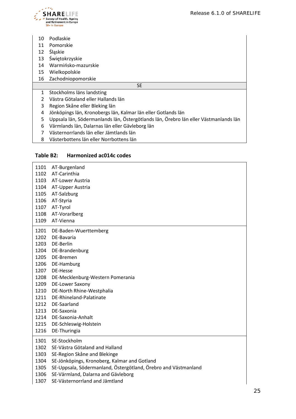

- Podlaskie
- Pomorskie
- Śląskie
- Świętokrzyskie
- Warmińsko-mazurskie
- Wielkopolskie

#### Zachodniopomorskie

SE

- Stockholms läns landsting
- Västra Götaland eller Hallands län
- Region Skåne eller Bleking län
- Jönköpings län, Kronobergs län, Kalmar län eller Gotlands län
- Uppsala län, Södermanlands län, Östergötlands län, Örebro län eller Västmanlands län
- Värmlands län, Dalarnas län eller Gävleborg län
- Västernorrlands län eller Jämtlands län
- Västerbottens län eller Norrbottens län

#### **Table B2: Harmonized ac014c codes**

| 1101 | AT-Burgenland                                                  |
|------|----------------------------------------------------------------|
| 1102 | AT-Carinthia                                                   |
| 1103 | AT-Lower Austria                                               |
| 1104 | AT-Upper Austria                                               |
| 1105 | AT-Salzburg                                                    |
| 1106 | AT-Styria                                                      |
| 1107 | AT-Tyrol                                                       |
| 1108 | AT-Vorarlberg                                                  |
| 1109 | AT-Vienna                                                      |
|      |                                                                |
| 1201 | DE-Baden-Wuerttemberg                                          |
| 1202 | DE-Bavaria                                                     |
| 1203 | DE-Berlin                                                      |
| 1204 | DE-Brandenburg                                                 |
| 1205 | DE-Bremen                                                      |
| 1206 | DE-Hamburg                                                     |
| 1207 | DE-Hesse                                                       |
| 1208 | DE-Mecklenburg-Western Pomerania                               |
| 1209 | <b>DE-Lower Saxony</b>                                         |
| 1210 | DE-North Rhine-Westphalia                                      |
| 1211 | DE-Rhineland-Palatinate                                        |
| 1212 | DE-Saarland                                                    |
| 1213 | DE-Saxonia                                                     |
| 1214 | DE-Saxonia-Anhalt                                              |
| 1215 | DE-Schleswig-Holstein                                          |
| 1216 | DE-Thuringia                                                   |
| 1301 | SE-Stockholm                                                   |
| 1302 | SE-Västra Götaland and Halland                                 |
| 1303 | SE-Region Skåne and Blekinge                                   |
| 1304 | SE-Jönköpings, Kronoberg, Kalmar and Gotland                   |
| 1305 | SE-Uppsala, Södermanland, Östergötland, Örebro and Västmanland |
| 1306 | SE-Värmland, Dalarna and Gävleborg                             |
| 1307 | SE-Västernorrland and Jämtland                                 |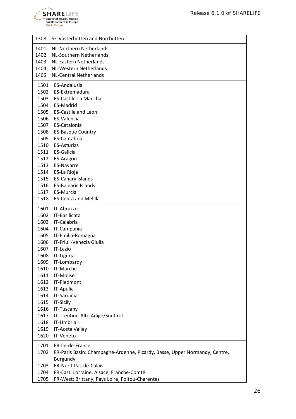

| 1308 | SE-Västerbotten and Norrbotten                                             |
|------|----------------------------------------------------------------------------|
| 1401 | NL-Northern Netherlands                                                    |
| 1402 | <b>NL-Southern Netherlands</b>                                             |
| 1403 | <b>NL-Eastern Netherlands</b>                                              |
| 1404 | NL-Western Netherlands                                                     |
| 1405 | <b>NL-Central Netherlands</b>                                              |
| 1501 | ES-Andalusia                                                               |
|      | 1502 ES-Extremadura                                                        |
|      | 1503 ES-Castile-La Mancha                                                  |
| 1504 | ES-Madrid                                                                  |
| 1505 | <b>ES-Castile and León</b>                                                 |
| 1506 | ES-Valencia                                                                |
|      | 1507 ES-Catalonia                                                          |
| 1508 | <b>ES-Basque Country</b>                                                   |
| 1509 | ES-Cantabria                                                               |
| 1510 | <b>ES-Asturias</b>                                                         |
|      | 1511 ES-Galicia                                                            |
| 1512 | ES-Aragon                                                                  |
| 1513 | <b>ES-Navarre</b>                                                          |
| 1514 | ES-La Rioja                                                                |
| 1515 | <b>ES-Canary Islands</b>                                                   |
| 1516 | <b>ES-Balearic Islands</b>                                                 |
| 1517 | ES-Murcia                                                                  |
| 1518 | <b>ES-Ceuta and Melilla</b>                                                |
| 1601 | IT-Abruzzo                                                                 |
| 1602 | IT-Basilicata                                                              |
| 1603 | IT-Calabria                                                                |
| 1604 | IT-Campania                                                                |
| 1605 | IT-Emilia-Romagna                                                          |
| 1606 | IT-Friuli-Venezia Giulia                                                   |
| 1607 | IT-Lazio                                                                   |
| 1608 | IT-Liguria                                                                 |
|      | 1609 IT-Lombardy                                                           |
| 1610 | IT-Marche                                                                  |
| 1611 | IT-Molise                                                                  |
| 1612 | IT-Piedmont                                                                |
| 1613 | IT-Apulia                                                                  |
| 1614 | IT-Sardinia                                                                |
| 1615 | IT-Sicily                                                                  |
| 1616 | IT-Tuscany                                                                 |
| 1617 | IT-Trentino-Alto Adige/Südtirol                                            |
| 1618 | IT-Umbria                                                                  |
| 1619 | IT-Aosta Valley                                                            |
| 1620 | IT-Veneto                                                                  |
| 1701 | FR-Ile-de-France                                                           |
| 1702 | FR-Paris Basin: Champagne-Ardenne, Picardy, Basse, Upper Normandy, Centre, |
|      | Burgundy                                                                   |
| 1703 | FR-Nord-Pas-de-Calais                                                      |
| 1704 | FR-East: Lorraine, Alsace, Franche-Comté                                   |
| 1705 | FR-West: Brittany, Pays Loire, Poitou-Charentes                            |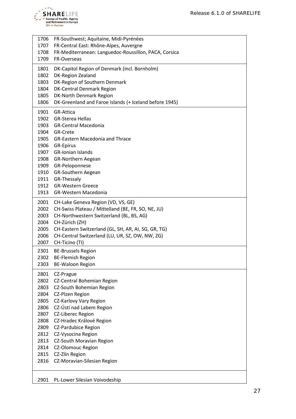

| 1706         | FR-Southwest; Aquitaine, Midi-Pyrénées                 |
|--------------|--------------------------------------------------------|
| 1707         | FR-Central East: Rhône-Alpes, Auvergne                 |
| 1708         | FR-Mediterranean: Languedoc-Roussillon, PACA, Corsica  |
| 1709         | FR-Overseas                                            |
| 1801         | DK-Capitol Region of Denmark (incl. Bornholm)          |
| 1802         | DK-Region Zealand                                      |
| 1803         | DK-Region of Southern Denmark                          |
| 1804         | <b>DK-Central Denmark Region</b>                       |
| 1805         | DK-North Denmark Region                                |
| 1806         | DK-Greenland and Faroe Islands (+ Iceland before 1945) |
|              |                                                        |
| 1901<br>1902 | <b>GR-Attica</b>                                       |
| 1903         | <b>GR-Sterea Hellas</b><br><b>GR-Central Macedonia</b> |
| 1904         | GR-Crete                                               |
| 1905         | <b>GR-Eastern Macedonia and Thrace</b>                 |
|              |                                                        |
| 1906<br>1907 | GR-Epirus<br><b>GR-Ionian Islands</b>                  |
|              | 1908 GR-Northern Aegean                                |
| 1909         | GR-Peloponnese                                         |
| 1910         | GR-Southern Aegean                                     |
| 1911         | GR-Thessaly                                            |
| 1912         | <b>GR-Western Greece</b>                               |
| 1913         | <b>GR-Western Macedonia</b>                            |
|              |                                                        |
| 2001         | CH-Lake Geneva Region (VD, VS, GE)                     |
| 2002         | CH-Swiss Plateau / Mittelland (BE, FR, SO, NE, JU)     |
| 2003         | CH-Northwestern Switzerland (BL, BS, AG)               |
| 2004         | CH-Zürich (ZH)                                         |
| 2005         | CH-Eastern Switzerland (GL, SH, AR, AI, SG, GR, TG)    |
| 2006         | CH-Central Switzerland (LU, UR, SZ, OW, NW, ZG)        |
| 2007         | CH-Ticino (TI)                                         |
| 2301         | <b>BE-Brussels Region</b>                              |
| 2302         | <b>BE-Flemish Region</b>                               |
| 2303         | <b>BE-Waloon Region</b>                                |
| 2801         | CZ-Prague                                              |
| 2802         | CZ-Central Bohemian Region                             |
| 2803         | CZ-South Bohemian Region                               |
| 2804         | CZ-Plzen Region                                        |
| 2805         | CZ-Karlovy Vary Region                                 |
| 2806         | CZ-Ústí nad Labem Region                               |
| 2807         | <b>CZ-Liberec Region</b>                               |
| 2808         | CZ-Hradec Králové Region                               |
| 2809         | <b>CZ-Pardubice Region</b>                             |
| 2812         | CZ-Vysocina Region                                     |
| 2813         | CZ-South Moravian Region                               |
| 2814         | <b>CZ-Olomouc Region</b>                               |
| 2815         | CZ-Zlín Region                                         |
| 2816         | CZ-Moravian-Silesian Region                            |
|              |                                                        |
| 2901         | PL-Lower Silesian Voivodeship                          |
|              |                                                        |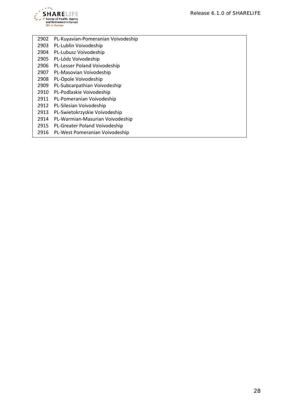

| 2902 | PL-Kuyavian-Pomeranian Voivodeship |
|------|------------------------------------|
| 2903 | PL-Lublin Voivodeship              |
| 2904 | PL-Lubusz Voivodeship              |
| 2905 | PL-Lódz Voivodeship                |
| 2906 | PL-Lesser Poland Voivodeship       |
| 2907 | PL-Masovian Voivodeship            |
| 2908 | PL-Opole Voivodeship               |
| 2909 | PL-Subcarpathian Voivodeship       |
| 2910 | PL-Podlaskie Voivodeship           |
| 2911 | PL-Pomeranian Voivodeship          |
| 2912 | PL-Silesian Voivodeship            |
| 2913 | PL-Swietokrzyskie Voivodeship      |
| 2914 | PL-Warmian-Masurian Voivodeship    |
| 2915 | PL-Greater Poland Voivodeship      |
| 2916 | PL-West Pomeranian Voivodeship     |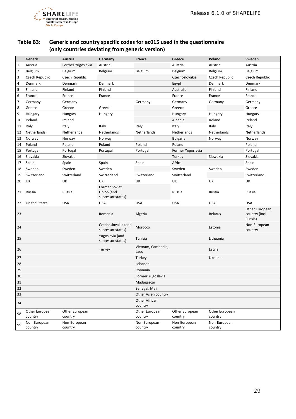

## **Table B3: Generic and country specific codes for ac015 used in the questionnaire (only countries deviating from generic version)**

|                | Generic                   | Austria                   | Germany                                                 | France                     | Greece                    | Poland                    | Sweden                                      |
|----------------|---------------------------|---------------------------|---------------------------------------------------------|----------------------------|---------------------------|---------------------------|---------------------------------------------|
| $\mathbf 1$    | Austria                   | Former Yugoslavia         | Austria                                                 |                            | Austria                   | Austria                   | Austria                                     |
| $\overline{2}$ | Belgium                   | Belgium                   | Belgium                                                 | Belgium                    | Belgium                   | Belgium                   | Belgium                                     |
| 3              | Czech Republic            | Czech Republic            |                                                         |                            | Czechoslovakia            | Czech Republic            | Czech Republic                              |
| 4              | Denmark                   | Denmark                   | Denmark                                                 |                            | Egypt                     | Denmark                   | Denmark                                     |
| 5              | Finland                   | Finland                   | Finland                                                 |                            | Australia                 | Finland                   | Finland                                     |
| 6              | France                    | France                    | France                                                  |                            | France                    | France                    | France                                      |
| 7              | Germany                   | Germany                   |                                                         | Germany                    | Germany                   | Germany                   | Germany                                     |
| 8              | Greece                    | Greece                    | Greece                                                  |                            | Greece                    |                           | Greece                                      |
| 9              | Hungary                   | Hungary                   | Hungary                                                 |                            | Hungary                   | Hungary                   | Hungary                                     |
| 10             | Ireland                   | Ireland                   |                                                         |                            | Albania                   | Ireland                   | Ireland                                     |
| 11             | Italy                     | Italy                     | Italy                                                   | Italy                      | Italy                     | Italy                     | Italy                                       |
| 12             | Netherlands               | Netherlands               | Netherlands                                             | Netherlands                | Netherlands               | Netherlands               | Netherlands                                 |
| 13             | Norway                    | Norway                    | Norway                                                  |                            | <b>Bulgaria</b>           | Norway                    | Norway                                      |
| 14             | Poland                    | Poland                    | Poland                                                  | Poland                     | Poland                    |                           | Poland                                      |
| 15             | Portugal                  | Portugal                  | Portugal                                                | Portugal                   | Former Yugoslavia         |                           | Portugal                                    |
| 16             | Slovakia                  | Slovakia                  |                                                         |                            | Turkey                    | Slowakia                  | Slovakia                                    |
| 17             | Spain                     | Spain                     | Spain                                                   | Spain                      | Africa                    |                           | Spain                                       |
| 18             | Sweden                    | Sweden                    | Sweden                                                  |                            | Sweden                    | Sweden                    | Sweden                                      |
| 19             | Switzerland               | Switzerland               | Switzerland                                             | Switzerland                | Switzerland               |                           | Switzerland                                 |
| 20             | UK                        | UK                        | UK                                                      | UK                         | UK                        | UK                        | UK                                          |
| 21             | Russia                    | Russia                    | <b>Former Sovjet</b><br>Union (and<br>successor states) |                            | Russia                    | Russia                    | Russia                                      |
| 22             | <b>United States</b>      | <b>USA</b>                | <b>USA</b>                                              | <b>USA</b>                 | <b>USA</b>                | <b>USA</b>                | <b>USA</b>                                  |
| 23             |                           |                           | Romania                                                 | Algeria                    |                           | <b>Belarus</b>            | Other European<br>country (incl.<br>Russia) |
| 24             |                           |                           | Czechoslovakia (and<br>successor states)                | Morocco                    |                           | Estonia                   | Non-European<br>country                     |
| 25             |                           |                           | Yugoslavia (and<br>successor states)                    | Tunisia                    |                           | Lithuania                 |                                             |
| 26             |                           |                           | Turkey                                                  | Vietnam, Cambodia,<br>Laos |                           | Latvia                    |                                             |
| 27             |                           |                           |                                                         | Turkey                     |                           | Ukraine                   |                                             |
| 28             |                           |                           |                                                         | Lebanon                    |                           |                           |                                             |
| 29             |                           |                           |                                                         | Romania                    |                           |                           |                                             |
| 30             |                           |                           |                                                         | Former Yugoslavia          |                           |                           |                                             |
| 31             |                           |                           |                                                         | Madagascar                 |                           |                           |                                             |
| 32             |                           |                           |                                                         | Senegal, Mali              |                           |                           |                                             |
| 33             |                           |                           |                                                         | Other Asien country        |                           |                           |                                             |
| 34             |                           |                           |                                                         | <b>Other African</b>       |                           |                           |                                             |
|                |                           |                           |                                                         | country                    |                           |                           |                                             |
| 98             | Other European<br>country | Other European<br>country |                                                         | Other European<br>country  | Other European<br>country | Other European<br>country |                                             |
| 99             | Non-European              | Non-European              |                                                         | Non-European               | Non-European              | Non-European              |                                             |
|                | country                   | country                   |                                                         | country                    | country                   | country                   |                                             |